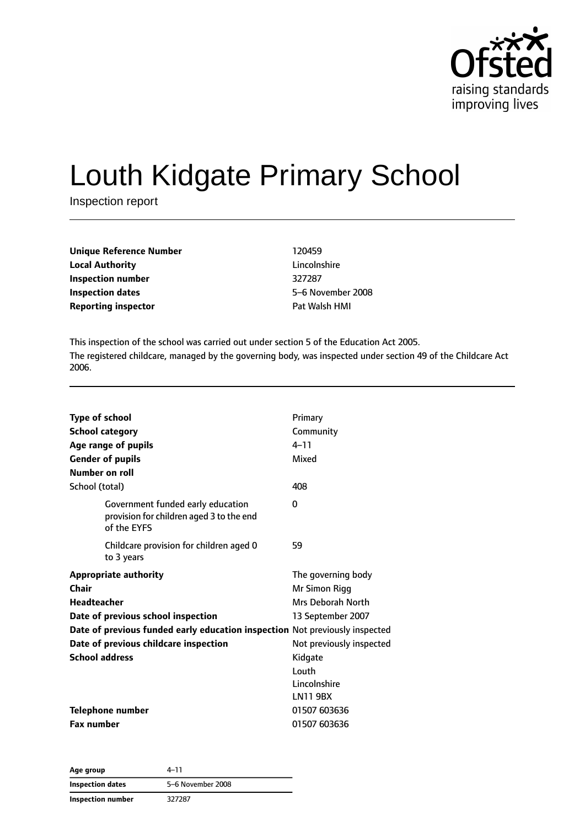

# Louth Kidgate Primary School

Inspection report

| <b>Unique Reference Number</b> | 120459        |
|--------------------------------|---------------|
| <b>Local Authority</b>         | Lincolnshire  |
| Inspection number              | 327287        |
| <b>Inspection dates</b>        | 5-6 November  |
| <b>Reporting inspector</b>     | Pat Walsh HMI |

**Lincolnshire Inspection dates** 5–6 November 2008

This inspection of the school was carried out under section 5 of the Education Act 2005. The registered childcare, managed by the governing body, was inspected under section 49 of the Childcare Act 2006.

| <b>Type of school</b><br><b>School category</b><br>Age range of pupils<br><b>Gender of pupils</b><br>Number on roll                                                                                                                                | Primary<br>Community<br>$4 - 11$<br>Mixed                                                                                                                        |
|----------------------------------------------------------------------------------------------------------------------------------------------------------------------------------------------------------------------------------------------------|------------------------------------------------------------------------------------------------------------------------------------------------------------------|
| School (total)                                                                                                                                                                                                                                     | 408                                                                                                                                                              |
| Government funded early education<br>provision for children aged 3 to the end<br>of the EYFS                                                                                                                                                       | 0                                                                                                                                                                |
| Childcare provision for children aged 0<br>to 3 years                                                                                                                                                                                              | 59                                                                                                                                                               |
| <b>Appropriate authority</b><br>Chair<br><b>Headteacher</b><br>Date of previous school inspection<br>Date of previous funded early education inspection Not previously inspected<br>Date of previous childcare inspection<br><b>School address</b> | The governing body<br>Mr Simon Rigg<br>Mrs Deborah North<br>13 September 2007<br>Not previously inspected<br>Kidgate<br>Louth<br>Lincolnshire<br><b>LN11 9BX</b> |
| <b>Telephone number</b><br><b>Fax number</b>                                                                                                                                                                                                       | 01507 603636<br>01507 603636                                                                                                                                     |

**Age group** 4–11 **Inspection dates** 5–6 November 2008 **Inspection number** 327287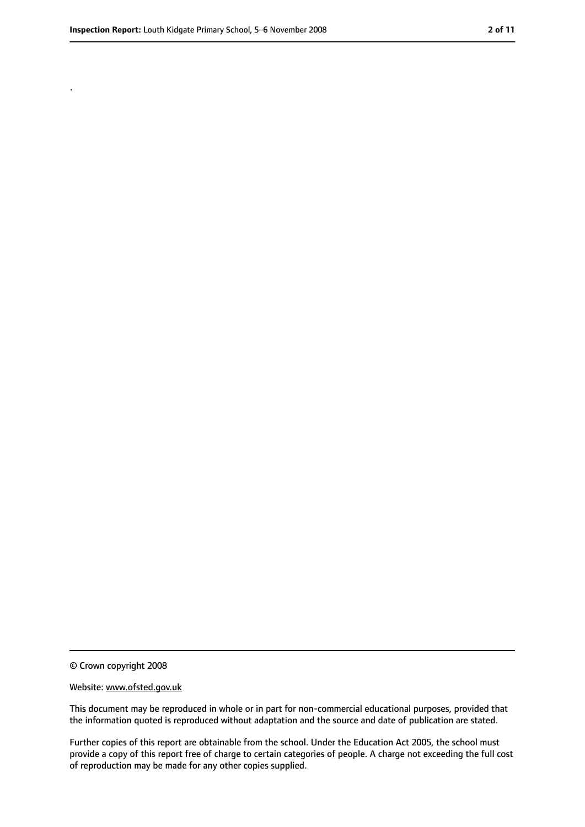.

<sup>©</sup> Crown copyright 2008

Website: www.ofsted.gov.uk

This document may be reproduced in whole or in part for non-commercial educational purposes, provided that the information quoted is reproduced without adaptation and the source and date of publication are stated.

Further copies of this report are obtainable from the school. Under the Education Act 2005, the school must provide a copy of this report free of charge to certain categories of people. A charge not exceeding the full cost of reproduction may be made for any other copies supplied.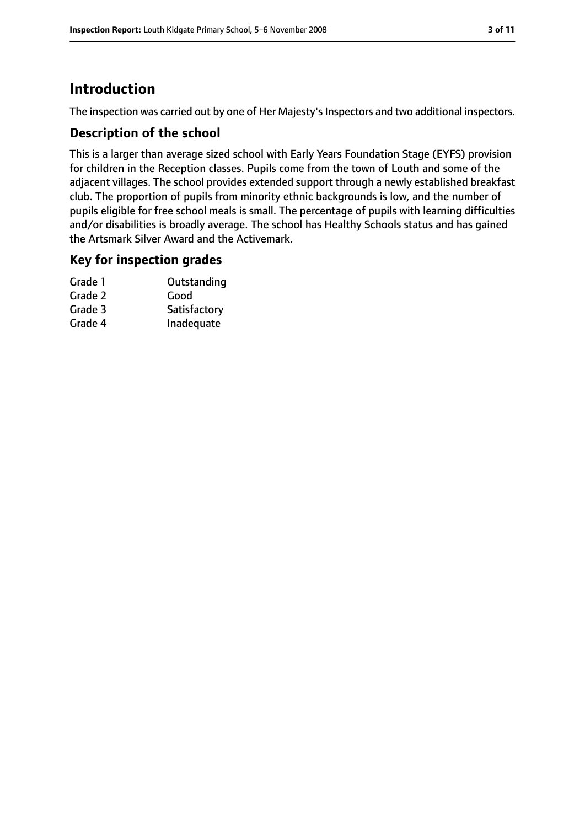# **Introduction**

The inspection was carried out by one of Her Majesty's Inspectors and two additional inspectors.

## **Description of the school**

This is a larger than average sized school with Early Years Foundation Stage (EYFS) provision for children in the Reception classes. Pupils come from the town of Louth and some of the adjacent villages. The school provides extended support through a newly established breakfast club. The proportion of pupils from minority ethnic backgrounds is low, and the number of pupils eligible for free school meals is small. The percentage of pupils with learning difficulties and/or disabilities is broadly average. The school has Healthy Schools status and has gained the Artsmark Silver Award and the Activemark.

## **Key for inspection grades**

| Outstanding  |
|--------------|
| Good         |
| Satisfactory |
| Inadequate   |
|              |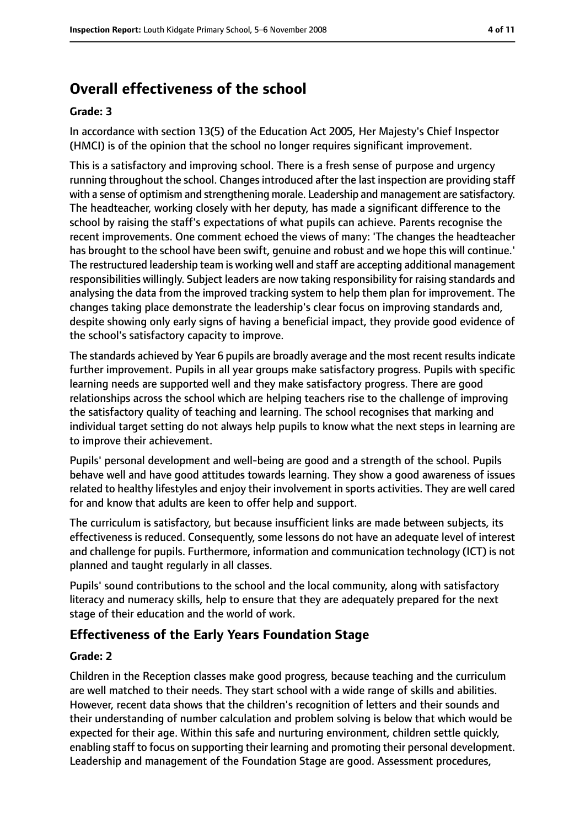# **Overall effectiveness of the school**

#### **Grade: 3**

In accordance with section 13(5) of the Education Act 2005, Her Majesty's Chief Inspector (HMCI) is of the opinion that the school no longer requires significant improvement.

This is a satisfactory and improving school. There is a fresh sense of purpose and urgency running throughout the school. Changes introduced after the last inspection are providing staff with a sense of optimism and strengthening morale. Leadership and management are satisfactory. The headteacher, working closely with her deputy, has made a significant difference to the school by raising the staff's expectations of what pupils can achieve. Parents recognise the recent improvements. One comment echoed the views of many: 'The changes the headteacher has brought to the school have been swift, genuine and robust and we hope this will continue.' The restructured leadership team is working well and staff are accepting additional management responsibilities willingly. Subject leaders are now taking responsibility for raising standards and analysing the data from the improved tracking system to help them plan for improvement. The changes taking place demonstrate the leadership's clear focus on improving standards and, despite showing only early signs of having a beneficial impact, they provide good evidence of the school's satisfactory capacity to improve.

The standards achieved by Year 6 pupils are broadly average and the most recent results indicate further improvement. Pupils in all year groups make satisfactory progress. Pupils with specific learning needs are supported well and they make satisfactory progress. There are good relationships across the school which are helping teachers rise to the challenge of improving the satisfactory quality of teaching and learning. The school recognises that marking and individual target setting do not always help pupils to know what the next steps in learning are to improve their achievement.

Pupils' personal development and well-being are good and a strength of the school. Pupils behave well and have good attitudes towards learning. They show a good awareness of issues related to healthy lifestyles and enjoy their involvement in sports activities. They are well cared for and know that adults are keen to offer help and support.

The curriculum is satisfactory, but because insufficient links are made between subjects, its effectiveness is reduced. Consequently, some lessons do not have an adequate level of interest and challenge for pupils. Furthermore, information and communication technology (ICT) is not planned and taught regularly in all classes.

Pupils' sound contributions to the school and the local community, along with satisfactory literacy and numeracy skills, help to ensure that they are adequately prepared for the next stage of their education and the world of work.

## **Effectiveness of the Early Years Foundation Stage**

#### **Grade: 2**

Children in the Reception classes make good progress, because teaching and the curriculum are well matched to their needs. They start school with a wide range of skills and abilities. However, recent data shows that the children's recognition of letters and their sounds and their understanding of number calculation and problem solving is below that which would be expected for their age. Within this safe and nurturing environment, children settle quickly, enabling staff to focus on supporting their learning and promoting their personal development. Leadership and management of the Foundation Stage are good. Assessment procedures,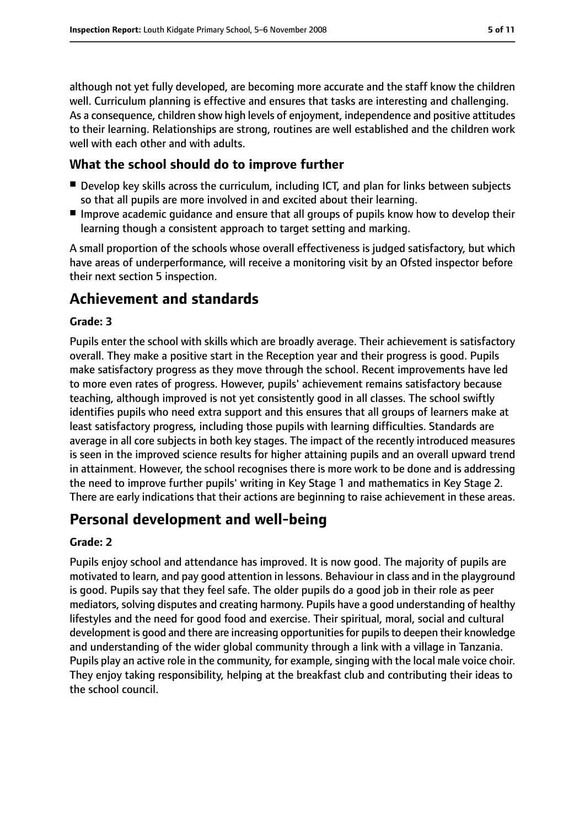although not yet fully developed, are becoming more accurate and the staff know the children well. Curriculum planning is effective and ensures that tasks are interesting and challenging. As a consequence, children show high levels of enjoyment, independence and positive attitudes to their learning. Relationships are strong, routines are well established and the children work well with each other and with adults.

## **What the school should do to improve further**

- Develop key skills across the curriculum, including ICT, and plan for links between subjects so that all pupils are more involved in and excited about their learning.
- Improve academic quidance and ensure that all groups of pupils know how to develop their learning though a consistent approach to target setting and marking.

A small proportion of the schools whose overall effectiveness is judged satisfactory, but which have areas of underperformance, will receive a monitoring visit by an Ofsted inspector before their next section 5 inspection.

# **Achievement and standards**

#### **Grade: 3**

Pupils enter the school with skills which are broadly average. Their achievement is satisfactory overall. They make a positive start in the Reception year and their progress is good. Pupils make satisfactory progress as they move through the school. Recent improvements have led to more even rates of progress. However, pupils' achievement remains satisfactory because teaching, although improved is not yet consistently good in all classes. The school swiftly identifies pupils who need extra support and this ensures that all groups of learners make at least satisfactory progress, including those pupils with learning difficulties. Standards are average in all core subjects in both key stages. The impact of the recently introduced measures is seen in the improved science results for higher attaining pupils and an overall upward trend in attainment. However, the school recognises there is more work to be done and is addressing the need to improve further pupils' writing in Key Stage 1 and mathematics in Key Stage 2. There are early indications that their actions are beginning to raise achievement in these areas.

# **Personal development and well-being**

#### **Grade: 2**

Pupils enjoy school and attendance has improved. It is now good. The majority of pupils are motivated to learn, and pay good attention in lessons. Behaviour in class and in the playground is good. Pupils say that they feel safe. The older pupils do a good job in their role as peer mediators, solving disputes and creating harmony. Pupils have a good understanding of healthy lifestyles and the need for good food and exercise. Their spiritual, moral, social and cultural development is good and there are increasing opportunities for pupils to deepen their knowledge and understanding of the wider global community through a link with a village in Tanzania. Pupils play an active role in the community, for example, singing with the local male voice choir. They enjoy taking responsibility, helping at the breakfast club and contributing their ideas to the school council.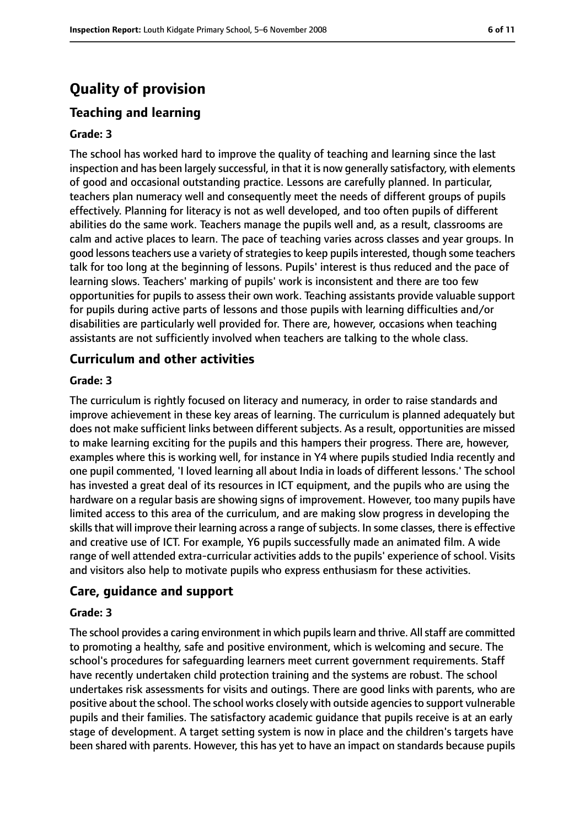# **Quality of provision**

# **Teaching and learning**

#### **Grade: 3**

The school has worked hard to improve the quality of teaching and learning since the last inspection and has been largely successful, in that it is now generally satisfactory, with elements of good and occasional outstanding practice. Lessons are carefully planned. In particular, teachers plan numeracy well and consequently meet the needs of different groups of pupils effectively. Planning for literacy is not as well developed, and too often pupils of different abilities do the same work. Teachers manage the pupils well and, as a result, classrooms are calm and active places to learn. The pace of teaching varies across classes and year groups. In good lessons teachers use a variety of strategies to keep pupils interested, though some teachers talk for too long at the beginning of lessons. Pupils' interest is thus reduced and the pace of learning slows. Teachers' marking of pupils' work is inconsistent and there are too few opportunities for pupils to assess their own work. Teaching assistants provide valuable support for pupils during active parts of lessons and those pupils with learning difficulties and/or disabilities are particularly well provided for. There are, however, occasions when teaching assistants are not sufficiently involved when teachers are talking to the whole class.

#### **Curriculum and other activities**

#### **Grade: 3**

The curriculum is rightly focused on literacy and numeracy, in order to raise standards and improve achievement in these key areas of learning. The curriculum is planned adequately but does not make sufficient links between different subjects. As a result, opportunities are missed to make learning exciting for the pupils and this hampers their progress. There are, however, examples where this is working well, for instance in Y4 where pupils studied India recently and one pupil commented, 'I loved learning all about India in loads of different lessons.' The school has invested a great deal of its resources in ICT equipment, and the pupils who are using the hardware on a regular basis are showing signs of improvement. However, too many pupils have limited access to this area of the curriculum, and are making slow progress in developing the skills that will improve their learning across a range of subjects. In some classes, there is effective and creative use of ICT. For example, Y6 pupils successfully made an animated film. A wide range of well attended extra-curricular activities adds to the pupils' experience of school. Visits and visitors also help to motivate pupils who express enthusiasm for these activities.

#### **Care, guidance and support**

#### **Grade: 3**

The school provides a caring environment in which pupils learn and thrive. All staff are committed to promoting a healthy, safe and positive environment, which is welcoming and secure. The school's procedures for safeguarding learners meet current government requirements. Staff have recently undertaken child protection training and the systems are robust. The school undertakes risk assessments for visits and outings. There are good links with parents, who are positive about the school. The school works closely with outside agenciesto support vulnerable pupils and their families. The satisfactory academic guidance that pupils receive is at an early stage of development. A target setting system is now in place and the children's targets have been shared with parents. However, this has yet to have an impact on standards because pupils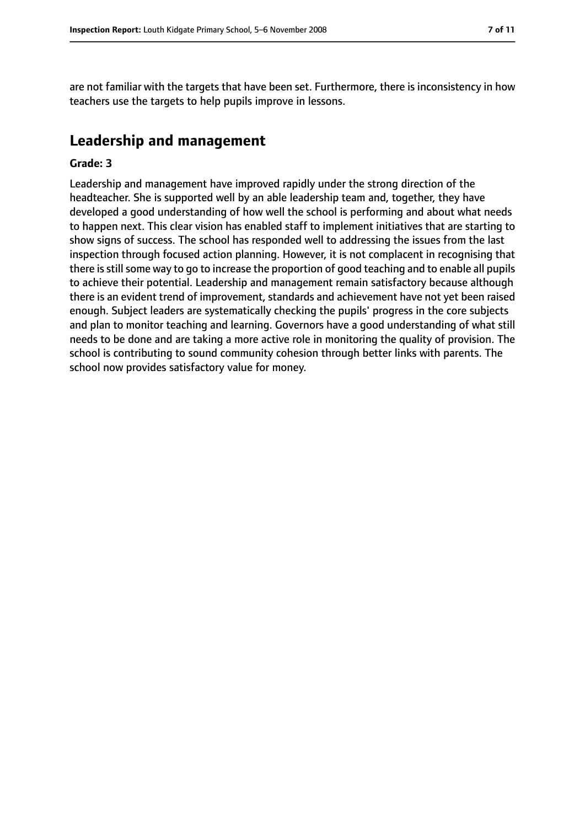are not familiar with the targets that have been set. Furthermore, there is inconsistency in how teachers use the targets to help pupils improve in lessons.

# **Leadership and management**

#### **Grade: 3**

Leadership and management have improved rapidly under the strong direction of the headteacher. She is supported well by an able leadership team and, together, they have developed a good understanding of how well the school is performing and about what needs to happen next. This clear vision has enabled staff to implement initiatives that are starting to show signs of success. The school has responded well to addressing the issues from the last inspection through focused action planning. However, it is not complacent in recognising that there is still some way to go to increase the proportion of good teaching and to enable all pupils to achieve their potential. Leadership and management remain satisfactory because although there is an evident trend of improvement, standards and achievement have not yet been raised enough. Subject leaders are systematically checking the pupils' progress in the core subjects and plan to monitor teaching and learning. Governors have a good understanding of what still needs to be done and are taking a more active role in monitoring the quality of provision. The school is contributing to sound community cohesion through better links with parents. The school now provides satisfactory value for money.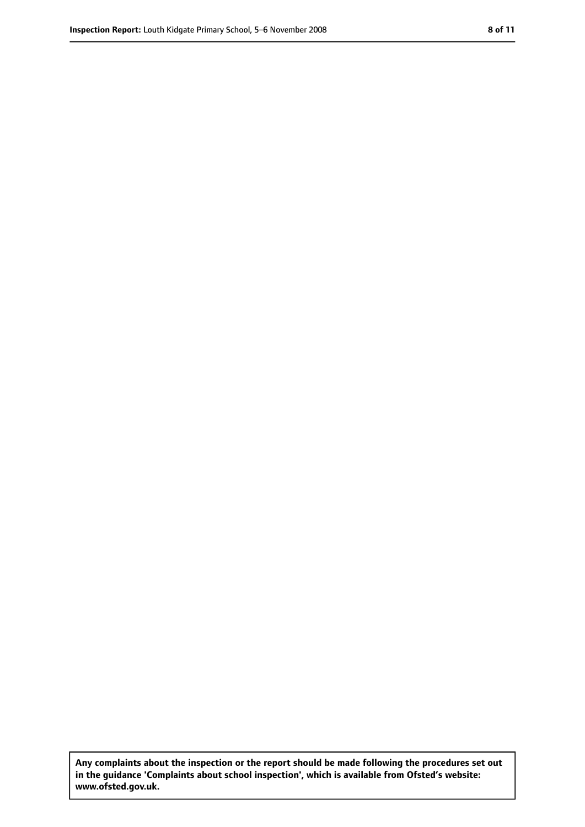**Any complaints about the inspection or the report should be made following the procedures set out in the guidance 'Complaints about school inspection', which is available from Ofsted's website: www.ofsted.gov.uk.**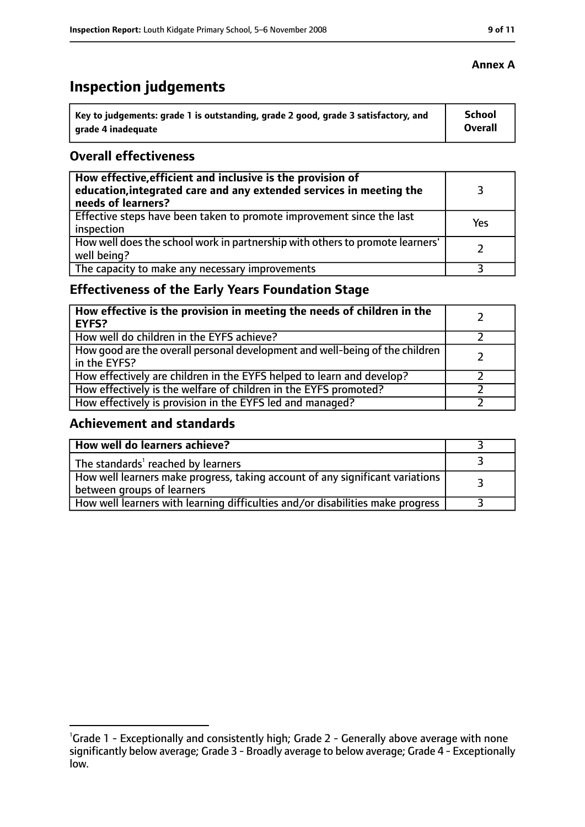# **Inspection judgements**

| Key to judgements: grade 1 is outstanding, grade 2 good, grade 3 satisfactory, and | School  |
|------------------------------------------------------------------------------------|---------|
| arade 4 inadequate                                                                 | Overall |

## **Overall effectiveness**

| How effective, efficient and inclusive is the provision of<br>education, integrated care and any extended services in meeting the<br>needs of learners? |     |
|---------------------------------------------------------------------------------------------------------------------------------------------------------|-----|
| Effective steps have been taken to promote improvement since the last<br>inspection                                                                     | Yes |
| How well does the school work in partnership with others to promote learners'<br>well being?                                                            |     |
| The capacity to make any necessary improvements                                                                                                         |     |

# **Effectiveness of the Early Years Foundation Stage**

| How effective is the provision in meeting the needs of children in the<br>l EYFS?              |  |
|------------------------------------------------------------------------------------------------|--|
| How well do children in the EYFS achieve?                                                      |  |
| How good are the overall personal development and well-being of the children<br>I in the EYFS? |  |
| How effectively are children in the EYFS helped to learn and develop?                          |  |
| How effectively is the welfare of children in the EYFS promoted?                               |  |
| How effectively is provision in the EYFS led and managed?                                      |  |

## **Achievement and standards**

| How well do learners achieve?                                                                               |  |
|-------------------------------------------------------------------------------------------------------------|--|
| The standards <sup>1</sup> reached by learners                                                              |  |
| How well learners make progress, taking account of any significant variations<br>between groups of learners |  |
| How well learners with learning difficulties and/or disabilities make progress                              |  |

#### **Annex A**

<sup>&</sup>lt;sup>1</sup>Grade 1 - Exceptionally and consistently high; Grade 2 - Generally above average with none significantly below average; Grade 3 - Broadly average to below average; Grade 4 - Exceptionally low.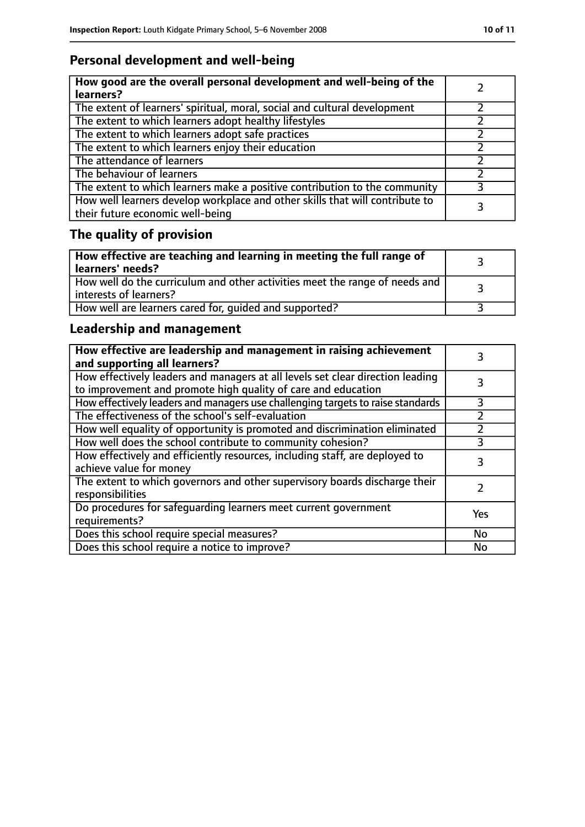# **Personal development and well-being**

| How good are the overall personal development and well-being of the<br>learners?                                 |  |
|------------------------------------------------------------------------------------------------------------------|--|
| The extent of learners' spiritual, moral, social and cultural development                                        |  |
| The extent to which learners adopt healthy lifestyles                                                            |  |
| The extent to which learners adopt safe practices                                                                |  |
| The extent to which learners enjoy their education                                                               |  |
| The attendance of learners                                                                                       |  |
| The behaviour of learners                                                                                        |  |
| The extent to which learners make a positive contribution to the community                                       |  |
| How well learners develop workplace and other skills that will contribute to<br>their future economic well-being |  |

# **The quality of provision**

| How effective are teaching and learning in meeting the full range of<br>learners' needs?                |  |
|---------------------------------------------------------------------------------------------------------|--|
| How well do the curriculum and other activities meet the range of needs and<br>  interests of learners? |  |
| How well are learners cared for, quided and supported?                                                  |  |

# **Leadership and management**

| How effective are leadership and management in raising achievement<br>and supporting all learners?                                              |     |
|-------------------------------------------------------------------------------------------------------------------------------------------------|-----|
| How effectively leaders and managers at all levels set clear direction leading<br>to improvement and promote high quality of care and education |     |
| How effectively leaders and managers use challenging targets to raise standards                                                                 | 3   |
| The effectiveness of the school's self-evaluation                                                                                               |     |
| How well equality of opportunity is promoted and discrimination eliminated                                                                      |     |
| How well does the school contribute to community cohesion?                                                                                      | 3   |
| How effectively and efficiently resources, including staff, are deployed to<br>achieve value for money                                          | 3   |
| The extent to which governors and other supervisory boards discharge their<br>responsibilities                                                  |     |
| Do procedures for safequarding learners meet current government<br>requirements?                                                                | Yes |
| Does this school require special measures?                                                                                                      | No  |
| Does this school require a notice to improve?                                                                                                   | No  |